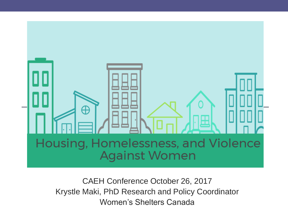

CAEH Conference October 26, 2017 Krystle Maki, PhD Research and Policy Coordinator Women's Shelters Canada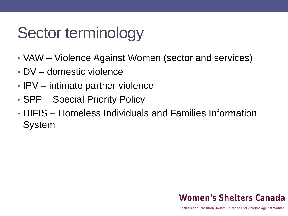## Sector terminology

- VAW Violence Against Women (sector and services)
- DV domestic violence
- IPV intimate partner violence
- SPP Special Priority Policy
- HIFIS Homeless Individuals and Families Information System

#### **Women's Shelters Canada**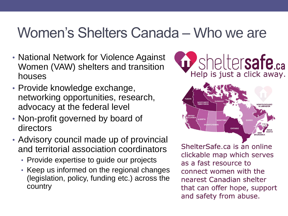#### Women's Shelters Canada – Who we are

- National Network for Violence Against Women (VAW) shelters and transition houses
- Provide knowledge exchange, networking opportunities, research, advocacy at the federal level
- Non-profit governed by board of directors
- Advisory council made up of provincial and territorial association coordinators
	- Provide expertise to guide our projects
	- Keep us informed on the regional changes (legislation, policy, funding etc.) across the country



ShelterSafe.ca is an online clickable map which serves as a fast resource to connect women with the nearest Canadian shelter that can offer hope, support and safety from abuse.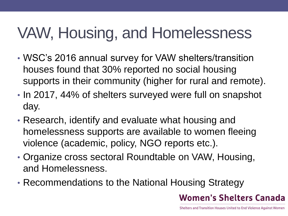# VAW, Housing, and Homelessness

- WSC's 2016 annual survey for VAW shelters/transition houses found that 30% reported no social housing supports in their community (higher for rural and remote).
- In 2017, 44% of shelters surveyed were full on snapshot day.
- Research, identify and evaluate what housing and homelessness supports are available to women fleeing violence (academic, policy, NGO reports etc.).
- Organize cross sectoral Roundtable on VAW, Housing, and Homelessness.
- Recommendations to the National Housing Strategy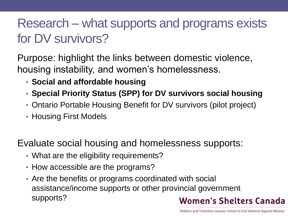#### Research – what supports and programs exists for DV survivors?

Purpose: highlight the links between domestic violence, housing instability, and women's homelessness.

- **Social and affordable housing**
- **Special Priority Status (SPP) for DV survivors social housing**
- Ontario Portable Housing Benefit for DV survivors (pilot project)
- Housing First Models

Evaluate social housing and homelessness supports:

- What are the eligibility requirements?
- How accessible are the programs?
- Are the benefits or programs coordinated with social assistance/income supports or other provincial government supports?**Women's Shelters Canada**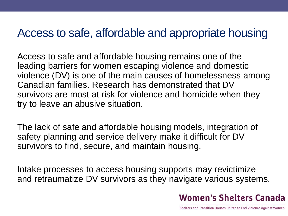#### Access to safe, affordable and appropriate housing

Access to safe and affordable housing remains one of the leading barriers for women escaping violence and domestic violence (DV) is one of the main causes of homelessness among Canadian families. Research has demonstrated that DV survivors are most at risk for violence and homicide when they try to leave an abusive situation.

The lack of safe and affordable housing models, integration of safety planning and service delivery make it difficult for DV survivors to find, secure, and maintain housing.

Intake processes to access housing supports may revictimize and retraumatize DV survivors as they navigate various systems.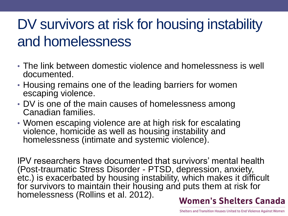## DV survivors at risk for housing instability and homelessness

- The link between domestic violence and homelessness is well documented.
- Housing remains one of the leading barriers for women escaping violence.
- DV is one of the main causes of homelessness among Canadian families.
- Women escaping violence are at high risk for escalating violence, homicide as well as housing instability and homelessness (intimate and systemic violence).

IPV researchers have documented that survivors' mental health (Post-traumatic Stress Disorder - PTSD, depression, anxiety, etc.) is exacerbated by housing instability, which makes it difficult for survivors to maintain their housing and puts them at risk for homelessness (Rollins et al. 2012). **Women's Shelters Canada**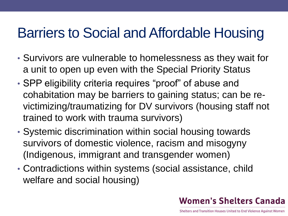### Barriers to Social and Affordable Housing

- Survivors are vulnerable to homelessness as they wait for a unit to open up even with the Special Priority Status
- SPP eligibility criteria requires "proof" of abuse and cohabitation may be barriers to gaining status; can be revictimizing/traumatizing for DV survivors (housing staff not trained to work with trauma survivors)
- Systemic discrimination within social housing towards survivors of domestic violence, racism and misogyny (Indigenous, immigrant and transgender women)
- Contradictions within systems (social assistance, child welfare and social housing)

#### **Women's Shelters Canada**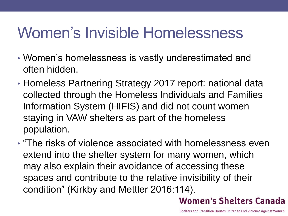## Women's Invisible Homelessness

- Women's homelessness is vastly underestimated and often hidden.
- Homeless Partnering Strategy 2017 report: national data collected through the Homeless Individuals and Families Information System (HIFIS) and did not count women staying in VAW shelters as part of the homeless population.
- "The risks of violence associated with homelessness even extend into the shelter system for many women, which may also explain their avoidance of accessing these spaces and contribute to the relative invisibility of their condition" (Kirkby and Mettler 2016:114).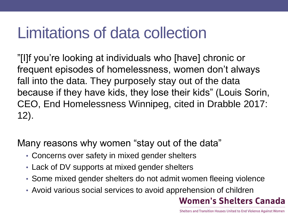## Limitations of data collection

"[I]f you're looking at individuals who [have] chronic or frequent episodes of homelessness, women don't always fall into the data. They purposely stay out of the data because if they have kids, they lose their kids" (Louis Sorin, CEO, End Homelessness Winnipeg, cited in Drabble 2017: 12).

Many reasons why women "stay out of the data"

- Concerns over safety in mixed gender shelters
- Lack of DV supports at mixed gender shelters
- Some mixed gender shelters do not admit women fleeing violence
- Avoid various social services to avoid apprehension of children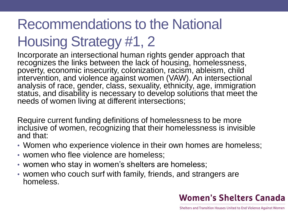## Recommendations to the National

## Housing Strategy #1, 2

Incorporate an intersectional human rights gender approach that recognizes the links between the lack of housing, homelessness, poverty, economic insecurity, colonization, racism, ableism, child intervention, and violence against women (VAW). An intersectional analysis of race, gender, class, sexuality, ethnicity, age, immigration status, and disability is necessary to develop solutions that meet the needs of women living at different intersections;

Require current funding definitions of homelessness to be more inclusive of women, recognizing that their homelessness is invisible and that:

- Women who experience violence in their own homes are homeless;
- women who flee violence are homeless;
- women who stay in women's shelters are homeless;
- women who couch surf with family, friends, and strangers are homeless.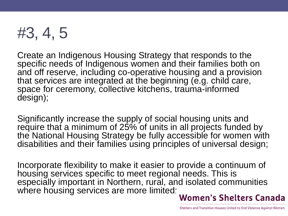

Create an Indigenous Housing Strategy that responds to the specific needs of Indigenous women and their families both on and off reserve, including co-operative housing and a provision that services are integrated at the beginning (e.g. child care, space for ceremony, collective kitchens, trauma-informed design);

Significantly increase the supply of social housing units and require that a minimum of 25% of units in all projects funded by the National Housing Strategy be fully accessible for women with disabilities and their families using principles of universal design;

Incorporate flexibility to make it easier to provide a continuum of housing services specific to meet regional needs. This is especially important in Northern, rural, and isolated communities where housing services are more limited;<br>Women's Shelters Canada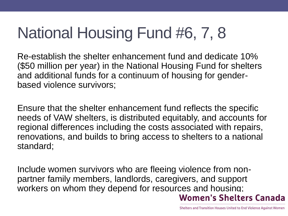# National Housing Fund #6, 7, 8

Re-establish the shelter enhancement fund and dedicate 10% (\$50 million per year) in the National Housing Fund for shelters and additional funds for a continuum of housing for genderbased violence survivors;

Ensure that the shelter enhancement fund reflects the specific needs of VAW shelters, is distributed equitably, and accounts for regional differences including the costs associated with repairs, renovations, and builds to bring access to shelters to a national standard;

Include women survivors who are fleeing violence from nonpartner family members, landlords, caregivers, and support workers on whom they depend for resources and housing; **Women's Shelters Canada**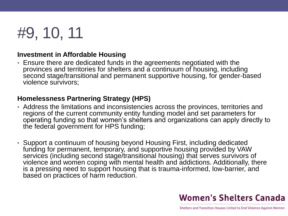## #9, 10, 11

#### **Investment in Affordable Housing**

• Ensure there are dedicated funds in the agreements negotiated with the provinces and territories for shelters and a continuum of housing, including second stage/transitional and permanent supportive housing, for gender-based violence survivors;

#### **Homelessness Partnering Strategy (HPS)**

- Address the limitations and inconsistencies across the provinces, territories and regions of the current community entity funding model and set parameters for operating funding so that women's shelters and organizations can apply directly to the federal government for HPS funding;
- Support a continuum of housing beyond Housing First, including dedicated funding for permanent, temporary, and supportive housing provided by VAW services (including second stage/transitional housing) that serves survivors of violence and women coping with mental health and addictions. Additionally, there is a pressing need to support housing that is trauma-informed, low-barrier, and based on practices of harm reduction.